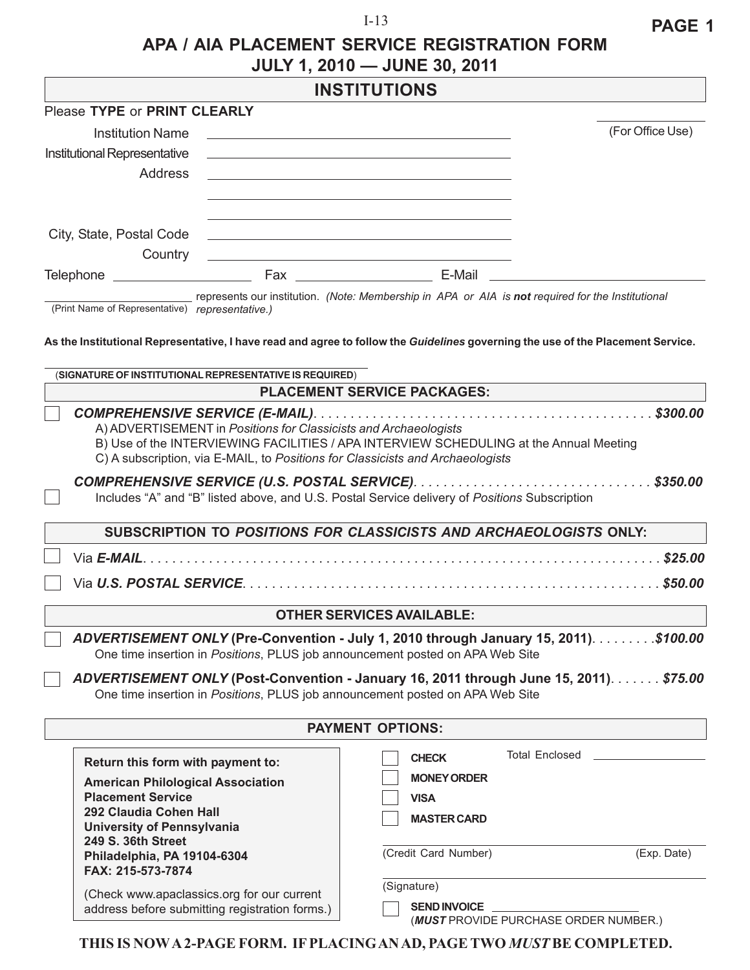#### I-13

## **APA / AIA PLACEMENT SERVICE REGISTRATION FORM JULY 1, 2010 — JUNE 30, 2011**

# **INSTITUTIONS**

|                                                                                                                                                                                    |                                                                  | סורו ט ו ווסאוו                                                                                                                                                                                                               |                                       |                  |
|------------------------------------------------------------------------------------------------------------------------------------------------------------------------------------|------------------------------------------------------------------|-------------------------------------------------------------------------------------------------------------------------------------------------------------------------------------------------------------------------------|---------------------------------------|------------------|
| Please TYPE or PRINT CLEARLY                                                                                                                                                       |                                                                  |                                                                                                                                                                                                                               |                                       |                  |
| <b>Institution Name</b>                                                                                                                                                            |                                                                  | and the control of the control of the control of the control of the control of the control of the control of the                                                                                                              |                                       | (For Office Use) |
| Institutional Representative                                                                                                                                                       |                                                                  |                                                                                                                                                                                                                               |                                       |                  |
| Address                                                                                                                                                                            |                                                                  |                                                                                                                                                                                                                               |                                       |                  |
|                                                                                                                                                                                    |                                                                  |                                                                                                                                                                                                                               |                                       |                  |
|                                                                                                                                                                                    |                                                                  |                                                                                                                                                                                                                               |                                       |                  |
| City, State, Postal Code                                                                                                                                                           |                                                                  |                                                                                                                                                                                                                               |                                       |                  |
|                                                                                                                                                                                    |                                                                  | the control of the control of the control of the control of the control of the control of the control of the control of the control of the control of the control of the control of the control of the control of the control |                                       |                  |
| Country                                                                                                                                                                            |                                                                  |                                                                                                                                                                                                                               |                                       |                  |
|                                                                                                                                                                                    |                                                                  |                                                                                                                                                                                                                               |                                       |                  |
| (Print Name of Representative) representative.)<br>As the Institutional Representative, I have read and agree to follow the Guidelines governing the use of the Placement Service. |                                                                  | represents our institution. (Note: Membership in APA or AIA is not required for the Institutional                                                                                                                             |                                       |                  |
| (SIGNATURE OF INSTITUTIONAL REPRESENTATIVE IS REQUIRED)                                                                                                                            |                                                                  |                                                                                                                                                                                                                               |                                       |                  |
|                                                                                                                                                                                    |                                                                  | <b>PLACEMENT SERVICE PACKAGES:</b>                                                                                                                                                                                            |                                       |                  |
|                                                                                                                                                                                    | A) ADVERTISEMENT in Positions for Classicists and Archaeologists | B) Use of the INTERVIEWING FACILITIES / APA INTERVIEW SCHEDULING at the Annual Meeting<br>C) A subscription, via E-MAIL, to Positions for Classicists and Archaeologists                                                      |                                       |                  |
|                                                                                                                                                                                    |                                                                  | Includes "A" and "B" listed above, and U.S. Postal Service delivery of Positions Subscription                                                                                                                                 |                                       |                  |
|                                                                                                                                                                                    |                                                                  | SUBSCRIPTION TO POSITIONS FOR CLASSICISTS AND ARCHAEOLOGISTS ONLY:                                                                                                                                                            |                                       |                  |
|                                                                                                                                                                                    |                                                                  |                                                                                                                                                                                                                               |                                       | \$25.00          |
|                                                                                                                                                                                    |                                                                  |                                                                                                                                                                                                                               |                                       |                  |
|                                                                                                                                                                                    |                                                                  | <b>OTHER SERVICES AVAILABLE:</b>                                                                                                                                                                                              |                                       |                  |
|                                                                                                                                                                                    |                                                                  | ADVERTISEMENT ONLY (Pre-Convention - July 1, 2010 through January 15, 2011). \$100.00<br>One time insertion in Positions, PLUS job announcement posted on APA Web Site                                                        |                                       |                  |
|                                                                                                                                                                                    |                                                                  | ADVERTISEMENT ONLY (Post-Convention - January 16, 2011 through June 15, 2011). \$75.00<br>One time insertion in Positions, PLUS job announcement posted on APA Web Site                                                       |                                       |                  |
|                                                                                                                                                                                    |                                                                  | <b>PAYMENT OPTIONS:</b>                                                                                                                                                                                                       |                                       |                  |
| Return this form with payment to:                                                                                                                                                  |                                                                  | <b>CHECK</b>                                                                                                                                                                                                                  | <b>Total Enclosed</b>                 |                  |
|                                                                                                                                                                                    |                                                                  | <b>MONEY ORDER</b>                                                                                                                                                                                                            |                                       |                  |
| <b>American Philological Association</b><br><b>Placement Service</b>                                                                                                               |                                                                  | <b>VISA</b>                                                                                                                                                                                                                   |                                       |                  |
| 292 Claudia Cohen Hall                                                                                                                                                             |                                                                  |                                                                                                                                                                                                                               |                                       |                  |
| <b>University of Pennsylvania</b>                                                                                                                                                  |                                                                  | <b>MASTER CARD</b>                                                                                                                                                                                                            |                                       |                  |
| 249 S. 36th Street                                                                                                                                                                 |                                                                  | (Credit Card Number)                                                                                                                                                                                                          |                                       | (Exp. Date)      |
| Philadelphia, PA 19104-6304<br>FAX: 215-573-7874                                                                                                                                   |                                                                  |                                                                                                                                                                                                                               |                                       |                  |
|                                                                                                                                                                                    |                                                                  | (Signature)                                                                                                                                                                                                                   |                                       |                  |
| (Check www.apaclassics.org for our current<br>address before submitting registration forms.)                                                                                       |                                                                  | <b>SEND INVOICE</b>                                                                                                                                                                                                           |                                       |                  |
|                                                                                                                                                                                    |                                                                  |                                                                                                                                                                                                                               | (MUST PROVIDE PURCHASE ORDER NUMBER.) |                  |

**THIS IS NOW A 2-PAGE FORM. IF PLACING AN AD, PAGE TWO** *MUST* **BE COMPLETED.**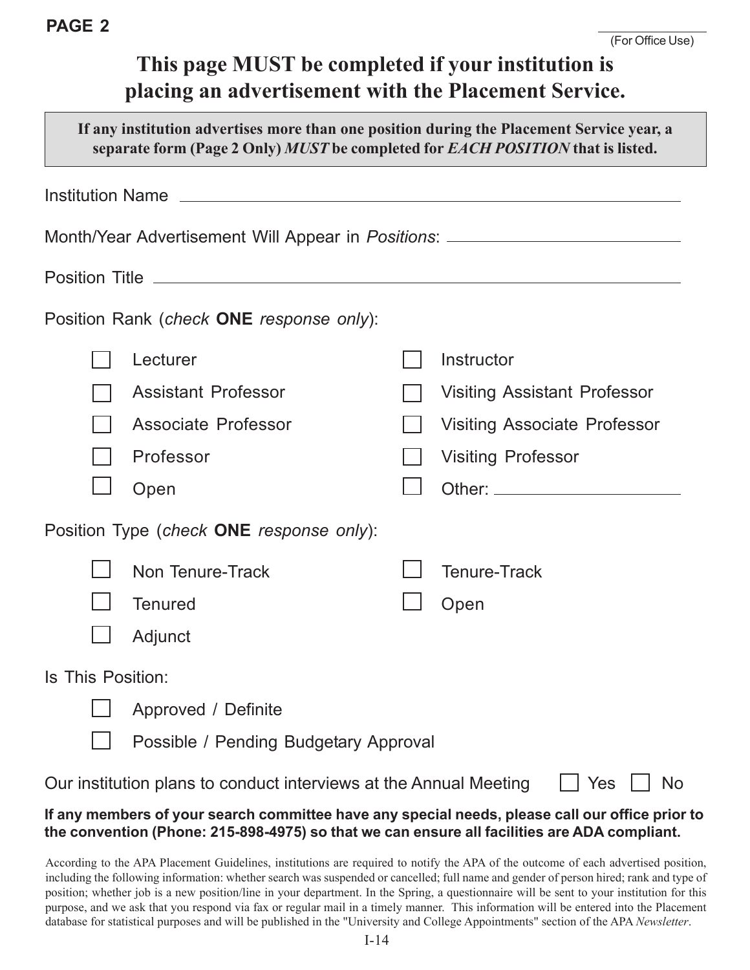# **This page MUST be completed if your institution is placing an advertisement with the Placement Service.**

| If any institution advertises more than one position during the Placement Service year, a<br>separate form (Page 2 Only) MUST be completed for EACH POSITION that is listed. |                                                                                                                |  |                                     |  |  |
|------------------------------------------------------------------------------------------------------------------------------------------------------------------------------|----------------------------------------------------------------------------------------------------------------|--|-------------------------------------|--|--|
|                                                                                                                                                                              | Institution Name Lawrence and Contract and Contract and Contract and Contract and Contract and Contract and Co |  |                                     |  |  |
|                                                                                                                                                                              | Month/Year Advertisement Will Appear in <i>Positions</i> : ____________________________                        |  |                                     |  |  |
|                                                                                                                                                                              |                                                                                                                |  |                                     |  |  |
|                                                                                                                                                                              | Position Rank (check <b>ONE</b> response only):                                                                |  |                                     |  |  |
|                                                                                                                                                                              | Lecturer                                                                                                       |  | Instructor                          |  |  |
|                                                                                                                                                                              | <b>Assistant Professor</b>                                                                                     |  | Visiting Assistant Professor        |  |  |
|                                                                                                                                                                              | Associate Professor                                                                                            |  | <b>Visiting Associate Professor</b> |  |  |
|                                                                                                                                                                              | Professor                                                                                                      |  | <b>Visiting Professor</b>           |  |  |
|                                                                                                                                                                              | Open                                                                                                           |  |                                     |  |  |
| Position Type (check ONE response only):                                                                                                                                     |                                                                                                                |  |                                     |  |  |
|                                                                                                                                                                              | Non Tenure-Track                                                                                               |  | <b>Tenure-Track</b>                 |  |  |
|                                                                                                                                                                              | <b>Tenured</b>                                                                                                 |  | Open                                |  |  |
|                                                                                                                                                                              | Adjunct                                                                                                        |  |                                     |  |  |
| Is This Position:                                                                                                                                                            |                                                                                                                |  |                                     |  |  |
|                                                                                                                                                                              | Approved / Definite                                                                                            |  |                                     |  |  |
|                                                                                                                                                                              | Possible / Pending Budgetary Approval                                                                          |  |                                     |  |  |
|                                                                                                                                                                              | Our institution plans to conduct interviews at the Annual Meeting                                              |  | Yes<br>No                           |  |  |

## **If any members of your search committee have any special needs, please call our office prior to the convention (Phone: 215-898-4975) so that we can ensure all facilities are ADA compliant.**

According to the APA Placement Guidelines, institutions are required to notify the APA of the outcome of each advertised position, including the following information: whether search was suspended or cancelled; full name and gender of person hired; rank and type of position; whether job is a new position/line in your department. In the Spring, a questionnaire will be sent to your institution for this purpose, and we ask that you respond via fax or regular mail in a timely manner. This information will be entered into the Placement database for statistical purposes and will be published in the "University and College Appointments" section of the APA *Newsletter*.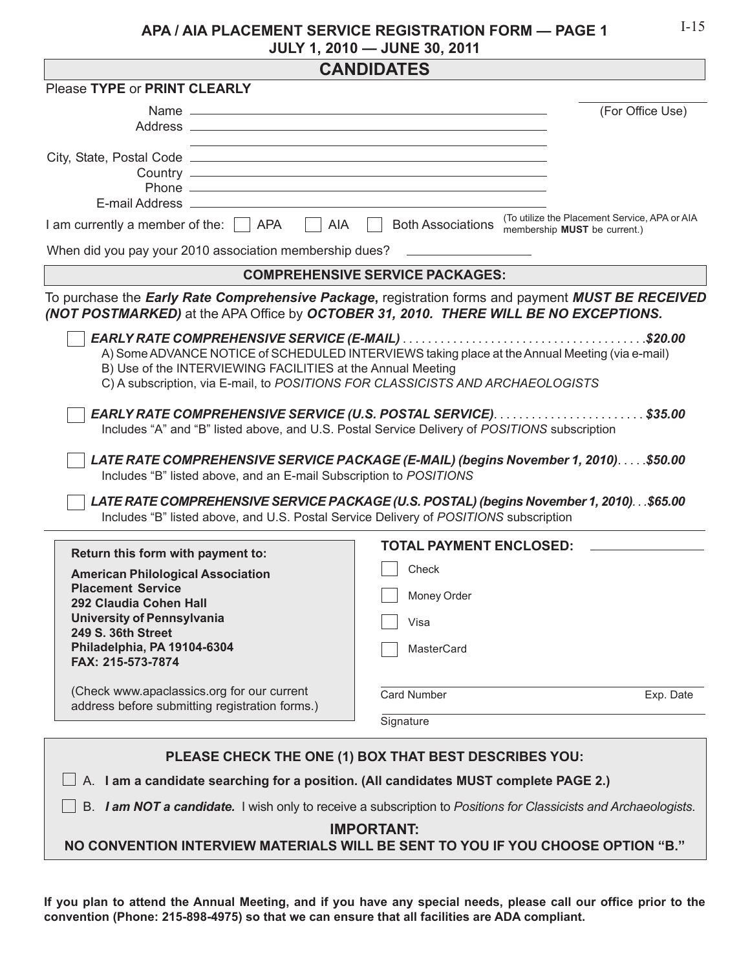### **APA / AIA PLACEMENT SERVICE REGISTRATION FORM — PAGE 1 JULY 1, 2010 — JUNE 30, 2011**

| <b>CANDIDATES</b>                                                                     |                                                                                                                                                                                           |  |  |  |  |
|---------------------------------------------------------------------------------------|-------------------------------------------------------------------------------------------------------------------------------------------------------------------------------------------|--|--|--|--|
| Please TYPE or PRINT CLEARLY                                                          |                                                                                                                                                                                           |  |  |  |  |
|                                                                                       | (For Office Use)                                                                                                                                                                          |  |  |  |  |
|                                                                                       |                                                                                                                                                                                           |  |  |  |  |
| AIA<br>I am currently a member of the: $\Box$ APA                                     | (To utilize the Placement Service, APA or AIA)<br><b>Both Associations</b><br>membership MUST be current.)                                                                                |  |  |  |  |
| When did you pay your 2010 association membership dues?                               |                                                                                                                                                                                           |  |  |  |  |
| <b>COMPREHENSIVE SERVICE PACKAGES:</b>                                                |                                                                                                                                                                                           |  |  |  |  |
|                                                                                       | To purchase the Early Rate Comprehensive Package, registration forms and payment MUST BE RECEIVED<br>(NOT POSTMARKED) at the APA Office by OCTOBER 31, 2010. THERE WILL BE NO EXCEPTIONS. |  |  |  |  |
| B) Use of the INTERVIEWING FACILITIES at the Annual Meeting                           | A) Some ADVANCE NOTICE of SCHEDULED INTERVIEWS taking place at the Annual Meeting (via e-mail)<br>C) A subscription, via E-mail, to POSITIONS FOR CLASSICISTS AND ARCHAEOLOGISTS          |  |  |  |  |
|                                                                                       | Includes "A" and "B" listed above, and U.S. Postal Service Delivery of POSITIONS subscription                                                                                             |  |  |  |  |
| Includes "B" listed above, and an E-mail Subscription to POSITIONS                    | LATE RATE COMPREHENSIVE SERVICE PACKAGE (E-MAIL) (begins November 1, 2010)\$50.00                                                                                                         |  |  |  |  |
| Includes "B" listed above, and U.S. Postal Service Delivery of POSITIONS subscription | LATE RATE COMPREHENSIVE SERVICE PACKAGE (U.S. POSTAL) (begins November 1, 2010). \$65.00                                                                                                  |  |  |  |  |
| Return this form with payment to:                                                     | <b>TOTAL PAYMENT ENCLOSED:</b>                                                                                                                                                            |  |  |  |  |
| <b>American Philological Association</b>                                              | Check                                                                                                                                                                                     |  |  |  |  |
| <b>Placement Service</b><br>292 Claudia Cohen Hall                                    | Money Order                                                                                                                                                                               |  |  |  |  |
| <b>University of Pennsylvania</b>                                                     | Visa                                                                                                                                                                                      |  |  |  |  |
| 249 S. 36th Street<br>Philadelphia, PA 19104-6304                                     |                                                                                                                                                                                           |  |  |  |  |
| FAX: 215-573-7874                                                                     | MasterCard                                                                                                                                                                                |  |  |  |  |
| (Check www.apaclassics.org for our current                                            | <b>Card Number</b><br>Exp. Date                                                                                                                                                           |  |  |  |  |
| address before submitting registration forms.)                                        | Signature                                                                                                                                                                                 |  |  |  |  |
|                                                                                       |                                                                                                                                                                                           |  |  |  |  |
| PLEASE CHECK THE ONE (1) BOX THAT BEST DESCRIBES YOU:                                 |                                                                                                                                                                                           |  |  |  |  |
|                                                                                       | A. I am a candidate searching for a position. (All candidates MUST complete PAGE 2.)                                                                                                      |  |  |  |  |
|                                                                                       | B. I am NOT a candidate. I wish only to receive a subscription to Positions for Classicists and Archaeologists.                                                                           |  |  |  |  |
| <b>IMPORTANT:</b>                                                                     |                                                                                                                                                                                           |  |  |  |  |

**NO CONVENTION INTERVIEW MATERIALS WILL BE SENT TO YOU IF YOU CHOOSE OPTION "B."**

**If you plan to attend the Annual Meeting, and if you have any special needs, please call our office prior to the convention (Phone: 215-898-4975) so that we can ensure that all facilities are ADA compliant.**